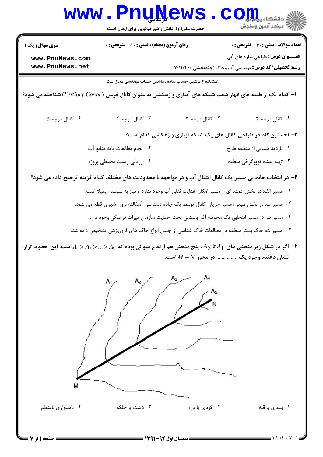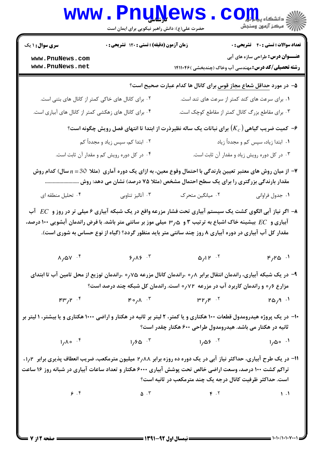| <b>سری سوال : ۱ یک</b>                                                          | زمان آزمون (دقیقه) : تستی : ۱۲۰ تشریحی : ۰ |                                                                                                                                                                                                                                                                                                   | <b>تعداد سوالات : تستی : 40 - تشریحی : 0</b> |  |
|---------------------------------------------------------------------------------|--------------------------------------------|---------------------------------------------------------------------------------------------------------------------------------------------------------------------------------------------------------------------------------------------------------------------------------------------------|----------------------------------------------|--|
| www.PnuNews.com<br>www.PnuNews.net                                              |                                            | <b>رشته تحصیلی/کد درس:</b> مهندسی آب وخاک (چندبخشی )۱۴۱۱۰۴۶                                                                                                                                                                                                                                       | <b>عنـــوان درس:</b> طراحی سازه های آبی      |  |
|                                                                                 |                                            | ۵− در مورد <u>حداقل شعاع مجاز قوس بر</u> ای کانال ها کدام عبارت صحیح است؟                                                                                                                                                                                                                         |                                              |  |
| ۰۲ برای کانال های خاکی کمتر از کانال های بتنی است.                              |                                            | ۰۱ برای سرعت های کند کمتر از سرعت های تند است.                                                                                                                                                                                                                                                    |                                              |  |
| ۰۴ برای کانال های زهکشی کمتر از کانال های آبیاری است.                           |                                            | ۰۳ برای مقاطع بزرگ کانال کمتر از مقاطع کوچک است.                                                                                                                                                                                                                                                  |                                              |  |
|                                                                                 |                                            | ۰۶ کمیت ضریب گیاهی $(K_c)$ برای نباتات یک ساله نظیرذرت از ابتدا تا انتهای فصل رویش چگونه است $\cdot$                                                                                                                                                                                              |                                              |  |
|                                                                                 | ۰۲ ابتدا کم، سپس زیاد و مجدداً کم          |                                                                                                                                                                                                                                                                                                   | ۰۱ ابتدا زیاد، سپس کم و مجدداً زیاد          |  |
|                                                                                 | ۰۴ در کل دوره رویش کم و مقدار آن ثابت است. |                                                                                                                                                                                                                                                                                                   | ۰۳ در کل دوره رویش زیاد و مقدار آن ثابت است. |  |
|                                                                                 |                                            | از میان روش های معتبر تعیین بارندگی با احتمال وقوع معین، به ازای یک دوره آماری (مثلا 30 $n\!=\!3$ سال) کدام روش $\blacktriangledown$                                                                                                                                                              |                                              |  |
|                                                                                 |                                            | مقدار بارندگی بزرگتری را برای یک سطح احتمال مشخص (مثلا ۷۵ درصد) نشان می دهد: روش …                                                                                                                                                                                                                |                                              |  |
| ۰۴ تحلیل منطقه ای                                                               | ۰۳ آنالیز تناوبی                           | ۰۲ میانگین متحرک<br>اگر نیاز آبی الگوی کشت یک سیستم آبیاری تحت فشار مزرعه واقع در یک شبکه آبیاری ۶ میلی تر در روز و $EC$ آب $\blacktriangleright$                                                                                                                                                 | ۰۱ جدول فراواني                              |  |
|                                                                                 |                                            | آبیاری و $EC$ بیشینه خاک اشباع به ترتیب ۳ و ۳٫۵ میلی موز بر سانتی متر باشد. با فرض راندمان آبشویی ۱۰۰ درصد،<br>مقدار کل آب آبیاری در دوره آبیاری ۸ روز چند سانتی متر باید منظور گردد؟ (گیاه از نوع حساس به شوری است).                                                                             |                                              |  |
| $\lambda/\Delta V$ . $f$                                                        | $5/15$ $\cdot$                             | $\Delta f$ $\mu$ <sup>T</sup>                                                                                                                                                                                                                                                                     | $F/R$ $\omega$ $\cdot$ <sup>1</sup>          |  |
|                                                                                 |                                            | ۹- در یک شبکه آبیاری، راندمان انتقال برابر ۰٫۸ ،راندمان کانال مزرعه ۰٫۷۵ ،راندمان توزیع از محل تامین آب تا ابتدای<br>مزارع ۰٫۶ و راندمان کاربرد آب در مزرعه ۰٫۷۲ است. راندمان کل شبکه چند درصد است؟                                                                                               |                                              |  |
| $^{\mathsf{F}}$ $^{\mathsf{H}}$ $^{\mathsf{H}}$ $^{\mathsf{H}}$ $^{\mathsf{H}}$ |                                            | $F \circ f \wedge f$ $\qquad \qquad \mathbb{P}^1 f \mathbb{P}^1 f \longrightarrow f$                                                                                                                                                                                                              | ۰۱ $P_{\Delta}$ ۳۵ ا                         |  |
|                                                                                 |                                            | ∙۱− در یک پروژه هیدرومدول قطعات ۱۰۰ هکتاری و یا کمتر، ۲ لیتر بر ثانیه در هکتار و اراضی ۱۰۰۰ هکتاری و یا بیشتر، ۱ لیتر بر<br>ثانیه در هکتار می باشد. هیدرومدول طراحی ۶۰۰ هکتار چقدر است؟                                                                                                           |                                              |  |
| $1/\Lambda$ o f                                                                 | $1/50$ $\cdot 7$                           | $1/05$ $^{-1}$                                                                                                                                                                                                                                                                                    | ۰۱ مهرا                                      |  |
|                                                                                 |                                            | <b>۱۱</b> - در یک طرح آبیاری، حداکثر نیاز آبی در یک دوره ده روزه برابر ۲٫۸۸ میلیون مترمکعب، ضریب انعطاف پذیری برابر ۱٫۲،<br>تراکم کشت ۱۰۰ درصد، وسعت اراضی خالص تحت پوشش آبیاری ۶۰۰۰ هکتار و تعداد ساعات آبیاری در شبانه روز ۱۶ ساعت<br>است. حداکثر ظرفیت کانال درجه یک چند مترمکعب در ثانیه است؟ |                                              |  |

 $1 - 1 - 11 - 1 - 1$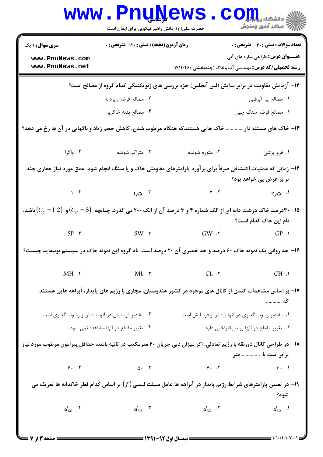|                                                                                                                       | <b>www.PnuNews</b><br>حضرت علی(ع): دانش راهبر نیکویی برای ایمان است |                                                                                                                                                                                                                                                                                                                                                                                                                             | الله دانشکاه پیام اور COM<br>الله عرکز آنههن وسنجش |
|-----------------------------------------------------------------------------------------------------------------------|---------------------------------------------------------------------|-----------------------------------------------------------------------------------------------------------------------------------------------------------------------------------------------------------------------------------------------------------------------------------------------------------------------------------------------------------------------------------------------------------------------------|----------------------------------------------------|
| <b>سری سوال : ۱ یک</b>                                                                                                | زمان آزمون (دقیقه) : تستی : ۱۲۰ تشریحی : ۰                          |                                                                                                                                                                                                                                                                                                                                                                                                                             | <b>تعداد سوالات : تستی : 40 - تشریحی : 0</b>       |
| www.PnuNews.com<br>www.PnuNews.net                                                                                    |                                                                     | <b>رشته تحصیلی/کد درس:</b> مهندسی آب وخاک (چندبخشی )۱۴۱۱۰۴۶                                                                                                                                                                                                                                                                                                                                                                 | <b>عنـــوان درس:</b> طراحی سازه های آبی            |
|                                                                                                                       |                                                                     | ۱۲- آزمایش مقاومت در برابر سایش (لس آنجلس) جزء بررسی های ژئوتکنیکی کدام گروه از مصالح است؟                                                                                                                                                                                                                                                                                                                                  |                                                    |
|                                                                                                                       | ۰۲ مصالح قرضه ريزدانه                                               |                                                                                                                                                                                                                                                                                                                                                                                                                             | ۰۱ مصالح پی آبرفتی                                 |
|                                                                                                                       | ۰۴ مصالح بدنه خاکريز                                                |                                                                                                                                                                                                                                                                                                                                                                                                                             | ۰۳ مصالح قرضه سنگ چین                              |
|                                                                                                                       |                                                                     | ۱۳- خاک های مسئله دار  خاک هایی هستندکه هنگام مرطوب شدن، کاهش حجم زیاد و ناگهانی در آن ها رخ می دهد؟                                                                                                                                                                                                                                                                                                                        |                                                    |
| ۰۴ واگرا                                                                                                              | ۰۳ متراکم شونده                                                     | ۰۲ متورم شونده                                                                                                                                                                                                                                                                                                                                                                                                              | ۱. فروریزشی                                        |
|                                                                                                                       |                                                                     | ۱۴– زمانی که عملیات اکتشافی صرفاً برای برآورد پارامترهای مقاومتی خاک و یا سنگ انجام شود، عمق مورد نیاز حفاری چند                                                                                                                                                                                                                                                                                                            |                                                    |
|                                                                                                                       |                                                                     |                                                                                                                                                                                                                                                                                                                                                                                                                             | برابر عرض پی خواهد بود؟                            |
| $\mathcal{M}$ . F                                                                                                     | $1/\Delta$ $\cdot$ $\cdot$                                          | $\begin{array}{ccc} \gamma & \gamma & \gamma \\ \gamma & \gamma & \gamma \end{array}$                                                                                                                                                                                                                                                                                                                                       |                                                    |
|                                                                                                                       |                                                                     | و (۳۰- ۳درصد خاک درشت دانه ای از الک شماره ۴ و ۳ درصد آن از الک ۲۰۰ می گذرد. چنانچه $\big(C_U=8\big)$ و $\big(C_c=1.2\big)$ باشد،                                                                                                                                                                                                                                                                                           | نام این خاک کدام است؟                              |
|                                                                                                                       | $SP . f$ $SW . r$                                                   | $GW \cdot 7$                                                                                                                                                                                                                                                                                                                                                                                                                | GP.1                                               |
|                                                                                                                       |                                                                     | ۱۶- حد روانی یک نمونه خاک ۶۰ درصد و حد خمیری آن ۲۰ درصد است. نام گروه این نمونه خاک در سیستم یونیفاید چیست؟                                                                                                                                                                                                                                                                                                                 |                                                    |
| MH.                                                                                                                   |                                                                     | $ML \cdot r$ $CL \cdot r$                                                                                                                                                                                                                                                                                                                                                                                                   | CH.1                                               |
|                                                                                                                       |                                                                     | ۱۷– بر اساس مشاهدات کندی از کانال های موجود در کشور هندوستان، مجاری با رژیم های پایدار، آبراهه هایی هستند                                                                                                                                                                                                                                                                                                                   | که                                                 |
| ۰۲ مقادیر فرسایش در آنها بیشتر از رسوب گذاری است.                                                                     |                                                                     | ۰۱ مقادیر رسوب گذاری در آنها بیشتر از فرسایش است.                                                                                                                                                                                                                                                                                                                                                                           |                                                    |
|                                                                                                                       | ۰۴ تغییر مقطع در آنها مشاهده نمی شود.                               |                                                                                                                                                                                                                                                                                                                                                                                                                             | ۰۳ تغییر مقطع در آنها روند یکنواختی دارد.          |
| ۱۸– در طراحی کانال ذوزنقه با رژیم تعادلی، اگر میزان دبی جریان ۴۰ مترمکعب در ثانیه باشد، حداقل پیرامون مرطوب مورد نیاز |                                                                     |                                                                                                                                                                                                                                                                                                                                                                                                                             | برابر است با:  متر                                 |
| 9.7                                                                                                                   | $\Delta$ . $\Gamma$                                                 | $F.$ $\cdot$                                                                                                                                                                                                                                                                                                                                                                                                                | $\mathbf{r} \cdot \mathbf{v}$                      |
|                                                                                                                       |                                                                     | ا– در تعیین پارامترهای شرایط رژیم پایدار در آبراهه ها عامل سیلت لیسی $(f)$ بر اساس کدام قطر خاکدانه ها تعریف می $\bullet$                                                                                                                                                                                                                                                                                                   | شود؟                                               |
| $d_{60}$ . $\epsilon$                                                                                                 | $d_{50}$ . $\mathbf{r}$                                             | $d_{30}$ . $\mathbf{r}$                                                                                                                                                                                                                                                                                                                                                                                                     | $d_{10}$ .                                         |
|                                                                                                                       |                                                                     | $\frac{1}{1 + \frac{1}{1 + \frac{1}{1 + \frac{1}{1 + \frac{1}{1 + \frac{1}{1 + \frac{1}{1 + \frac{1}{1 + \frac{1}{1 + \frac{1}{1 + \frac{1}{1 + \frac{1}{1 + \frac{1}{1 + \frac{1}{1 + \frac{1}{1 + \frac{1}{1 + \frac{1}{1 + \frac{1}{1 + \frac{1}{1 + \frac{1}{1 + \frac{1}{1 + \frac{1}{1 + \frac{1}{1 + \frac{1}{1 + \frac{1}{1 + \frac{1}{1 + \frac{1}{1 + \frac{1}{1 + \frac{1}{1 + \frac{1}{1 + \frac{1}{1 + \frac{$ |                                                    |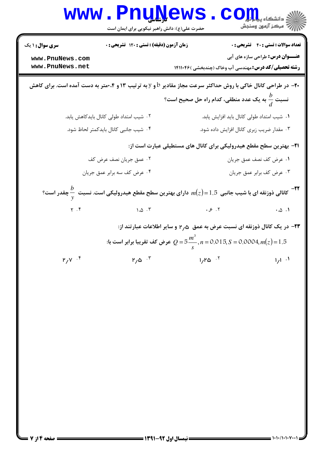|                                                              | www.rnunews<br>حضرت علی(ع): دانش راهبر نیکویی برای ایمان است                                                                                                             |                                                                                         | ڪ دانشڪاه پ <b>يا ۾ نور</b><br>ر <i>7</i> مرڪز آزمون وسنڊش                              |
|--------------------------------------------------------------|--------------------------------------------------------------------------------------------------------------------------------------------------------------------------|-----------------------------------------------------------------------------------------|-----------------------------------------------------------------------------------------|
| <b>سری سوال : ۱ یک</b><br>www.PnuNews.com<br>www.PnuNews.net | زمان آزمون (دقیقه) : تستی : ۱۲۰ تشریحی : ۰                                                                                                                               | <b>رشته تحصیلی/کد درس:</b> مهندسی آب وخاک (چندبخشی )۱۴۱۱۰۴۶                             | <b>تعداد سوالات : تستی : 40 - تشریحی : 0</b><br><b>عنـــوان درس:</b> طراحی سازه های آبی |
|                                                              | <b>۰۲</b> - در طراحی کانال خاکی با روش حداکثر سرعت مجاز مقادیر b و y به ترتیب ۱۳ و ۰،۴متر به دست آمده است. برای کاهش                                                     | نسبت $\displaystyle\frac{b}{d}$ به یک عدد منطقی، کدام راه حل صحیح است؟                  |                                                                                         |
|                                                              | ۰۲ شیب امتداد طولی کانال بایدکاهش یابد.<br>۰۴ شیب جانبی کانال بایدکمتر لحاظ شود.                                                                                         | ۰۱ شیب امتداد طولی کانال باید افزایش یابد.<br>۰۳ مقدار ضریب زبری کانال افزایش داده شود. |                                                                                         |
|                                                              |                                                                                                                                                                          | <b>۲۱</b> - بهترین سطح مقطع هیدرولیکی برای کانال های مستطیلی عبارت است از:              |                                                                                         |
|                                                              | ۰۲ عمق جریان نصف عرض کف<br>۰۴ عرض كف سه برابر عمق جريان                                                                                                                  |                                                                                         | ٠١ عرض كف نصف عمق جريان<br>۰۳ عرض کف برابر عمق جریان                                    |
|                                                              | کانالی ذوزنقه ای با شیب جانبی $1.5 = m(z)$ دارای بهترین سطح مقطع هیدرولیکی است. نسبت $\frac{b}{\gamma}$ چقدر است؟ $^{-1}$                                                |                                                                                         |                                                                                         |
| $\gamma$ . $\uparrow$                                        | $\Lambda$ . $\Delta$ . $\Upsilon$                                                                                                                                        | .8.7                                                                                    | $\cdot \omega \cdot 1$                                                                  |
|                                                              | ۲۳− در یک کانال ذوزنقه ای نسبت عرض به عمق ۳٫۵ و سایر اطلاعات عبارتند از:<br>عرض كف تقريبا برابر است با: $Q = 5\frac{m^3}{c}$ , $n = 0.015$ , $S = 0.0004$ , $m(z) = 1.5$ |                                                                                         |                                                                                         |
| $P/V$ . ۴                                                    | $r_{\alpha}$ ۰۳                                                                                                                                                          | $1/RQ$ $.7$                                                                             | $1/l^{-1}$                                                                              |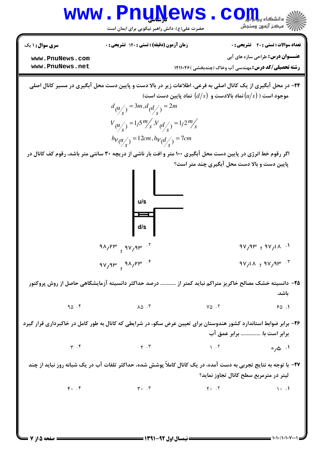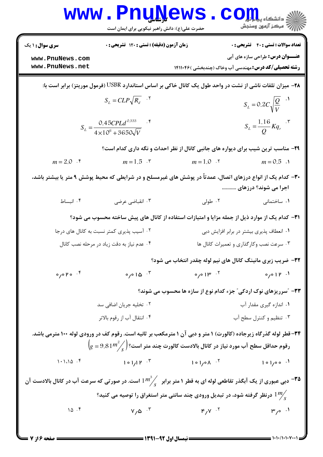|                                                                                                                      | www.PnuNews<br>حضرت علی(ع): دانش راهبر نیکویی برای ایمان است                                                             |                                                                  | $\sum_{i=1}^N\prod_{i=1}^N\sum_{j=1}^{N_i}$ ا<br>/<br>// مرکز آزمون وسنجش                                         |  |
|----------------------------------------------------------------------------------------------------------------------|--------------------------------------------------------------------------------------------------------------------------|------------------------------------------------------------------|-------------------------------------------------------------------------------------------------------------------|--|
| <b>سری سوال : ۱ یک</b>                                                                                               | زمان آزمون (دقیقه) : تستی : ۱۲۰ تشریحی : ۰                                                                               |                                                                  | <b>تعداد سوالات : تستی : ۴۰ تشریحی : 0</b>                                                                        |  |
| www.PnuNews.com                                                                                                      |                                                                                                                          |                                                                  | <b>عنـــوان درس:</b> طراحی سازه های آبی                                                                           |  |
| www.PnuNews.net                                                                                                      |                                                                                                                          |                                                                  | <b>رشته تحصیلی/کد درس:</b> مهندسی آب وخاک (چندبخشی )۱۴۱۱۰۴۶                                                       |  |
|                                                                                                                      | <b>۲۸</b> – میزان تلفات ناشی از نشت در واحد طول یک کانال خاکی بر اساس استاندارد USBR (فرمول موریتز) برابر است با:        |                                                                  |                                                                                                                   |  |
|                                                                                                                      | $S_L = CLP\sqrt{R_d}$ . $^{\backprime}$                                                                                  |                                                                  | $S_L = 0.2 C \sqrt{\frac{Q}{V}}$ <sup>1</sup>                                                                     |  |
|                                                                                                                      | $S_L = \frac{0.45CPLd^{0.333}}{4 \times 10^6 + 3650\sqrt{V}}$                                                            |                                                                  | $S_L = \frac{1.16}{Q} K q_r$ .                                                                                    |  |
|                                                                                                                      | ۲۹- مناسب ترین شیب برای دیواره های جانبی کانال از نظر احداث و نگه داری کدام است؟                                         |                                                                  |                                                                                                                   |  |
| $m = 2.0$ .                                                                                                          | $m = 1.5$ .                                                                                                              | $m = 1.0$ .                                                      | $m = 0.5$ .                                                                                                       |  |
|                                                                                                                      | ۳۰– کدام یک از انواع درزهای اتصال، عمدتاً در پوشش های غیرمسلح و در شرایطی که محیط پوشش ۹ متر یا بیشتر باشد،              |                                                                  | اجرا می شوند؟ درزهای                                                                                              |  |
| ۰۴ انبساط                                                                                                            | ۰۳ انقباضي عرضي                                                                                                          | ۰۲ طولی                                                          | ۰۱ ساختمانی                                                                                                       |  |
|                                                                                                                      | <b>۳۱</b> – کدام یک از موارد ذیل از جمله مزایا و امتیازات استفاده از کانال های پیش ساخته محسوب می شود؟                   |                                                                  |                                                                                                                   |  |
|                                                                                                                      | ۰۲ آسیب پذیری کمتر نسبت به کانال های درجا                                                                                |                                                                  | ۰۱ انعطاف پذیری بیشتر در برابر افزایش دبی                                                                         |  |
|                                                                                                                      | ۰۴ عدم نیاز به دقت زیاد در مرحله نصب کانال                                                                               |                                                                  | ۰۳ سرعت نصب وكارگذاري و تعميرات كانال ها                                                                          |  |
|                                                                                                                      |                                                                                                                          |                                                                  | 39- ضریب زبری مانینگ کانال های نیم لوله چقدر انتخاب می شود؟                                                       |  |
| $^7$ . o 4 o $\sqrt{ }$                                                                                              |                                                                                                                          |                                                                  |                                                                                                                   |  |
|                                                                                                                      |                                                                                                                          |                                                                  | ۳۳- "سرریزهای نوک اردکی" جزء کدام نوع از سازه ها محسوب می شوند؟                                                   |  |
|                                                                                                                      | ۰۲ تخلیه جریان اضافی سد                                                                                                  |                                                                  | ٠١. اندازه گيري مقدار آب                                                                                          |  |
|                                                                                                                      | ۰۴ انتقال آب از رقوم بالاتر                                                                                              |                                                                  | ۰۳ تنظیم و کنترل سطح آب                                                                                           |  |
|                                                                                                                      |                                                                                                                          |                                                                  | ۳۴– قطر لوله گذرگاه زیرجاده (کالورت) ۱ متر و دبی آن ۱ مترمکعب بر ثانیه است. رقوم کف در ورودی لوله ۱۰۰ مترمی باشد. |  |
|                                                                                                                      | $\left( {{g = 9.81}}{{m^2}} \middle/_\mathrm{s}\right)$ رقوم حداقل سطح آب مورد نیاز در کانال بالادست کالورت چند متر است؟ |                                                                  |                                                                                                                   |  |
|                                                                                                                      | $101/I$ $K$ $101/I$ $K$ $K$                                                                                              | $1 \circ 1 \circ \wedge \cdot 5$ $1 \circ 1 \circ \circ \cdot 1$ |                                                                                                                   |  |
| ه است. در صورتی که سرعت آب و ای به قطر دار در انبران کرو $m^3$ و است. در صورتی که سرعت آب در کانال بالادست آن $\sim$ |                                                                                                                          |                                                                  |                                                                                                                   |  |
|                                                                                                                      | درنظر گرفته شود، در تبدیل ورودی چند سانتی متر استغراق را توصیه می کنید؟ $1\frac{m}{s}$                                   |                                                                  |                                                                                                                   |  |
| 10.7                                                                                                                 | $V_{\alpha}$ $V_{\alpha}$ $V_{\alpha}$                                                                                   | $F/V$ $.7$                                                       | $\mu$ /° $\cdot$ 1                                                                                                |  |
|                                                                                                                      |                                                                                                                          |                                                                  |                                                                                                                   |  |

 $1.1.11.1.1$